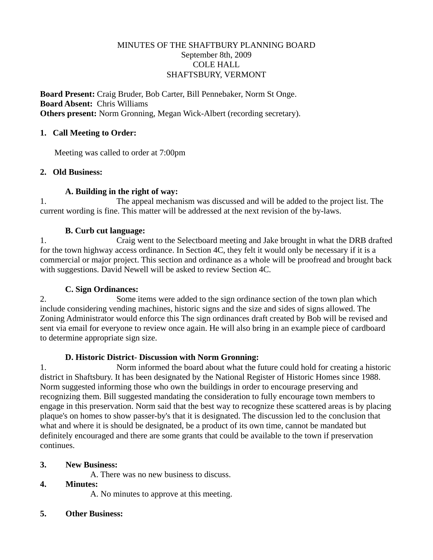## MINUTES OF THE SHAFTBURY PLANNING BOARD September 8th, 2009 COLE HALL SHAFTSBURY, VERMONT

**Board Present:** Craig Bruder, Bob Carter, Bill Pennebaker, Norm St Onge. **Board Absent:** Chris Williams **Others present:** Norm Gronning, Megan Wick-Albert (recording secretary).

## **1. Call Meeting to Order:**

Meeting was called to order at 7:00pm

## **2. Old Business:**

## **A. Building in the right of way:**

1. The appeal mechanism was discussed and will be added to the project list. The current wording is fine. This matter will be addressed at the next revision of the by-laws.

## **B. Curb cut language:**

1. Craig went to the Selectboard meeting and Jake brought in what the DRB drafted for the town highway access ordinance. In Section 4C, they felt it would only be necessary if it is a commercial or major project. This section and ordinance as a whole will be proofread and brought back with suggestions. David Newell will be asked to review Section 4C.

#### **C. Sign Ordinances:**

2. Some items were added to the sign ordinance section of the town plan which include considering vending machines, historic signs and the size and sides of signs allowed. The Zoning Administrator would enforce this The sign ordinances draft created by Bob will be revised and sent via email for everyone to review once again. He will also bring in an example piece of cardboard to determine appropriate sign size.

#### **D. Historic District- Discussion with Norm Gronning:**

1. Norm informed the board about what the future could hold for creating a historic district in Shaftsbury. It has been designated by the National Register of Historic Homes since 1988. Norm suggested informing those who own the buildings in order to encourage preserving and recognizing them. Bill suggested mandating the consideration to fully encourage town members to engage in this preservation. Norm said that the best way to recognize these scattered areas is by placing plaque's on homes to show passer-by's that it is designated. The discussion led to the conclusion that what and where it is should be designated, be a product of its own time, cannot be mandated but definitely encouraged and there are some grants that could be available to the town if preservation continues.

# **3. New Business:**

A. There was no new business to discuss.

# **4. Minutes:**

A. No minutes to approve at this meeting.

**5. Other Business:**